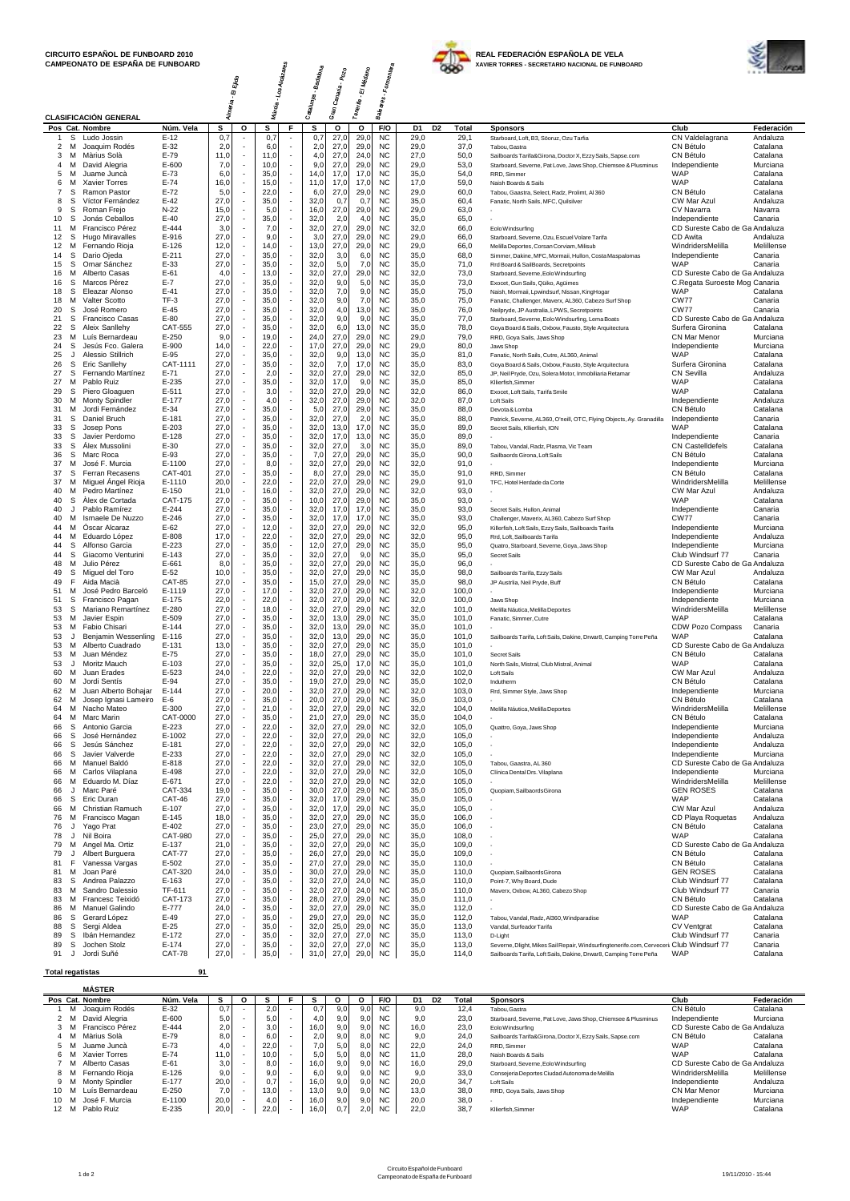



|                         |                   | CAMPEONATO DE ESPANA DE FUNBOARD        |                           |                                  |   |                                                                      |                           |                     |              |                        |                              |                | XAVIER TORRES - SECRETARIO NACIONAL DE FUNBOARD                                          |                                            | <b>IFCA</b>            |
|-------------------------|-------------------|-----------------------------------------|---------------------------|----------------------------------|---|----------------------------------------------------------------------|---------------------------|---------------------|--------------|------------------------|------------------------------|----------------|------------------------------------------------------------------------------------------|--------------------------------------------|------------------------|
|                         |                   |                                         |                           | Almeria - El Ejido               |   | s Alcázare <sub>s</sub>                                              | Caralunya - Badalona<br>I | Sran Canaria - Pozo | - El Médano  | - Formentera           |                              |                |                                                                                          |                                            |                        |
|                         |                   |                                         |                           |                                  |   | Múroia - Los ,                                                       |                           |                     |              |                        |                              |                |                                                                                          |                                            |                        |
|                         |                   |                                         |                           |                                  |   |                                                                      |                           |                     | Tenerite     | Baleares.              |                              |                |                                                                                          |                                            |                        |
|                         |                   | <b>CLASIFICACIÓN GENERAL</b>            |                           |                                  |   |                                                                      |                           |                     |              |                        |                              |                |                                                                                          |                                            |                        |
| $\mathbf{1}$            | s                 | Pos Cat. Nombre                         | Núm. Vela<br>$E-12$       | s                                | о | s<br>F.                                                              | s<br>0,7                  | о                   | о<br>29,0    | F/O<br><b>NC</b>       | D <sub>2</sub><br>D1<br>29,0 | Total          | <b>Sponsors</b>                                                                          | Club                                       | Federación             |
| 2                       | M                 | Ludo Jossin<br>Joaquim Rodés            | $E-32$                    | 0,7<br>2,0                       |   | 0,7<br>6,0                                                           | 2,0                       | 27,0<br>27,0        | 29,0         | <b>NC</b>              | 29,0                         | 29,1<br>37,0   | Starboard, Loft, B3, Söoruz, Ozu Tarfia<br>Tabou, Gastra                                 | CN Valdelagrana<br>CN Bétulo               | Andaluza<br>Catalana   |
| 3                       | M                 | Màrius Solà                             | $E-79$                    | 11,0                             |   | 11,0<br>$\overline{\phantom{a}}$                                     | 4,0                       | 27,0                | 24,0         | <b>NC</b>              | 27,0                         | 50,0           | Sailboards Tarifa&Girona, Doctor X, Ezzy Sails, Sapse.com                                | CN Bétulo                                  | Catalana               |
| 4                       | м                 | David Alegria                           | $E - 600$                 | 7,0                              |   | 10,0<br>$\overline{\phantom{a}}$                                     | 9,0                       | 27,0                | 29,0         | <b>NC</b>              | 29,0                         | 53,0           | Starboard, Severne, Pat Love, Jaws Shop, Chiemsee & Plusminus                            | Independiente                              | Murciana               |
| 5                       | M                 | Juame Juncà                             | $E-73$                    | 6,0                              |   | 35,0<br>$\overline{\phantom{a}}$<br>$\overline{\phantom{a}}$         | 14,0                      | 17,0                | 17,0         | <b>NC</b>              | 35,0                         | 54,0           | RRD, Simmer                                                                              | WAP                                        | Catalana               |
| 6<br>7                  | M<br>S            | <b>Xavier Torres</b><br>Ramon Pastor    | $E-74$<br>$E-72$          | 16,0<br>5,0<br>J.                |   | 15,0<br>22,0<br>$\overline{\phantom{a}}$                             | 11,0<br>6,0               | 17,0<br>27,0        | 17,0<br>29,0 | <b>NC</b><br><b>NC</b> | 17,0<br>29,0                 | 59,0<br>60,0   | Naish Boards & Sails<br>Tabou, Gaastra, Select, Radz, Prolimt, Al 360                    | WAP<br>CN Bétulo                           | Catalana<br>Catalana   |
| 8                       | s                 | Víctor Fernández                        | $E-42$                    | 27,0                             |   | 35,0<br>$\overline{\phantom{a}}$                                     | 32,0                      | 0,7                 | 0,7          | <b>NC</b>              | 35,0                         | 60,4           | Fanatic, North Sails, MFC, Quilsilver                                                    | CW Mar Azul                                | Andaluza               |
| 9                       | S                 | Roman Frejo                             | $N-22$                    | 15,0                             |   | 5,0<br>$\overline{\phantom{a}}$                                      | 16,0                      | 27,0                | 29,0         | <b>NC</b>              | 29,0                         | 63,0           |                                                                                          | CV Navarra                                 | Navarra                |
| 10                      | s                 | Jonás Ceballos                          | $E-40$                    | 27,0<br>٠                        |   | 35,0<br>$\overline{\phantom{a}}$                                     | 32,0                      | 2,0                 | 4,0          | <b>NC</b>              | 35,0                         | 65,0           |                                                                                          | Independiente                              | Canaria                |
| 11<br>12                | M<br>S            | Francisco Pérez<br>Hugo Miravalles      | E-444<br>E-916            | 3,0<br>÷,<br>27,0                |   | 7,0<br>$\overline{\phantom{a}}$<br>9,0                               | 32,0<br>3,0               | 27,0<br>27,0        | 29,0<br>29,0 | <b>NC</b><br><b>NC</b> | 32,0<br>29,0                 | 66,0<br>66,0   | EoloWindsurfing<br>Starboard, Severne, Ozu, Escuel Volare Tarifa                         | CD Sureste Cabo de Ga Andaluza<br>CD Awita | Andaluza               |
| 12                      | м                 | Fernando Rioja                          | $E-126$                   | 12,0                             |   | 14,0<br>$\overline{\phantom{a}}$                                     | 13,0                      | 27,0                | 29,0         | <b>NC</b>              | 29.0                         | 66,0           | Melilla Deportes, Corsan Corviam, Milisub                                                | WindridersMelilla                          | Melillense             |
| 14                      | S                 | Dario Ojeda                             | $E - 211$                 | 27,0                             |   | 35,0<br>$\overline{\phantom{a}}$                                     | 32,0                      | 3,0                 | 6,0          | <b>NC</b>              | 35,0                         | 68,0           | Simmer, Dakine, MFC, Mormaii, Hullon, Costa Maspalomas                                   | Independiente                              | Canaria                |
| 15                      | s                 | Omar Sánchez                            | E-33                      | 27,0                             |   | 35,0                                                                 | 32,0                      | 5,0                 | 7,0          | <b>NC</b>              | 35,0                         | 71,0           | Rrd Board & SailBoards, Secretpoints                                                     | WAP                                        | Canaria                |
| 16                      | м                 | Alberto Casas                           | $E-61$                    | 4,0                              |   | 13,0<br>$\overline{\phantom{a}}$                                     | 32,0                      | 27,0                | 29,0         | <b>NC</b>              | 32,0                         | 73,0           | Starboard, Severne, Eolo Windsurfing                                                     | CD Sureste Cabo de Ga Andaluza             |                        |
| 16<br>18                | S<br>S.           | Marcos Pérez<br>Eleazar Alonso          | $E-7$<br>$E-41$           | 27,0<br>27,0                     |   | 35,0<br>35,0<br>$\overline{\phantom{a}}$                             | 32,0<br>32,0              | 9,0<br>7,0          | 5,0<br>9,0   | <b>NC</b><br><b>NC</b> | 35,0<br>35,0                 | 73,0<br>75,0   | Exocet, Gun Sails, Qüiko, Agüimes<br>Naish, Mormaii, Lpwindsurf, Nissan, KingHogar       | C.Regata Suroeste Mog Canaria<br>WAP       | Catalana               |
| 18                      | м                 | Valter Scotto                           | $TF-3$                    | 27,0                             |   | 35,0<br>$\overline{\phantom{a}}$                                     | 32,0                      | 9,0                 | 7,0          | <b>NC</b>              | 35,0                         | 75,0           | Fanatic, Challenger, Maverx, AL360, Cabezo Surf Shop                                     | <b>CW77</b>                                | Canaria                |
| 20                      | S                 | José Romero                             | $E-45$                    | 27,0<br>÷,                       |   | 35,0<br>$\overline{\phantom{a}}$                                     | 32,0                      | 4,0                 | 13,0         | <b>NC</b>              | 35,0                         | 76,0           | Neilpryde, JP Australia, LPWS, Secretpoints                                              | <b>CW77</b>                                | Canaria                |
| 21                      | s                 | <b>Francisco Casas</b>                  | $E-80$                    | 27,0                             |   | 35,0<br>÷,                                                           | 32,0                      | 9,0                 | 9,0          | <b>NC</b>              | 35,0                         | 77,0           | Starboard, Severne, Eolo Windsurfing, Lema Boats                                         | CD Sureste Cabo de Ga Andaluza             |                        |
| 22                      | -S                | Aleix Sanllehy                          | CAT-555                   | 27,0                             |   | 35,0<br>÷,<br>÷,                                                     | 32,0                      | 6,0                 | 13,0         | <b>NC</b>              | 35,0                         | 78,0           | Goya Board & Sails, Oxbow, Fausto, Style Arquitectura                                    | Surfera Gironina                           | Catalana               |
| 23<br>24                | М<br>s            | Luís Bernardeau<br>Jesús Fco. Galera    | $E-250$<br>E-900          | 9,0<br>14,0<br>÷                 |   | 19,0<br>÷,<br>22,0                                                   | 24,0<br>17,0              | 27,0<br>27,0        | 29,0<br>29,0 | <b>NC</b><br><b>NC</b> | 29,0<br>29,0                 | 79,0<br>80,0   | RRD, Goya Sails, Jaws Shop<br>Jaws Shop                                                  | CN Mar Menor<br>Independiente              | Murciana<br>Murciana   |
| 25                      | J                 | Alessio Stillrich                       | E-95                      | 27,0                             |   | 35,0<br>Ŀ,                                                           | 32,0                      | 9,0                 | 13,0         | <b>NC</b>              | 35,0                         | 81,0           | Fanatic, North Sails, Cutre, AL360, Animal                                               | WAP                                        | Catalana               |
| 26                      | s                 | Eric Sanllehy                           | CAT-1111                  | 27,0                             |   | 35,0<br>$\overline{\phantom{a}}$                                     | 32,0                      | 7,0                 | 17,0         | <b>NC</b>              | 35,0                         | 83,0           | Goya Board & Sails, Oxbow, Fausto, Style Arquitectura                                    | Surfera Gironina                           | Catalana               |
| 27                      | S                 | Fernando Martínez                       | $E-71$                    | 27,0<br>$\overline{\phantom{a}}$ |   | 2,0<br>$\overline{\phantom{a}}$                                      | 32,0                      | 27,0                | 29,0         | <b>NC</b>              | 32,0                         | 85,0           | JP, Neil Pryde, Ozu, Solera Motor, Inmobiliaria Retamar                                  | CN Sevilla                                 | Andaluza               |
| 27<br>29                | M                 | Pablo Ruiz                              | E-235<br>$E - 511$        | 27,0<br>÷,<br>27,0               |   | 35,0<br>$\overline{\phantom{a}}$<br>3,0                              | 32,0<br>32,0              | 17,0<br>27,0        | 9,0<br>29,0  | <b>NC</b><br><b>NC</b> | 35,0<br>32,0                 | 85,0<br>86,0   | Kllierfish, Simmer                                                                       | WAP<br>WAP                                 | Catalana               |
| 30                      | S<br>м            | Piero Gloaguen<br><b>Monty Spindler</b> | $E-177$                   | 27,0                             |   | 4,0                                                                  | 32,0                      | 27,0                | 29,0         | <b>NC</b>              | 32,0                         | 87,0           | Exocet, Loft Sails, Tarifa Smile<br><b>Loft Sails</b>                                    | Independiente                              | Catalana<br>Andaluza   |
| 31                      | м                 | Jordi Fernández                         | $E-34$                    | 27,0                             |   | 35,0<br>$\overline{\phantom{a}}$                                     | 5,0                       | 27,0                | 29,0         | <b>NC</b>              | 35,0                         | 88,0           | Devota & Lomba                                                                           | CN Bétulo                                  | Catalana               |
| 31                      | S                 | Daniel Bruch                            | E-181                     | 27,0                             |   | 35,0                                                                 | 32,0                      | 27,0                | 2,0          | <b>NC</b>              | 35,0                         | 88,0           | Patrick, Severne, AL360, O'neill, OTC, Flying Objects, Ay. Granadilla                    | Independiente                              | Canaria                |
| 33                      | S                 | Josep Pons                              | $E-203$                   | 27,0                             |   | 35,0                                                                 | 32,0                      | 13,0                | 17,0         | <b>NC</b>              | 35,0                         | 89,0           | Secret Sails, Kllierfish, ION                                                            | WAP                                        | Catalana               |
| 33                      | s                 | Javier Perdomo                          | $E-128$<br>$E-30$         | 27,0<br>27,0                     |   | 35,0<br>$\overline{\phantom{a}}$<br>$\overline{\phantom{a}}$         | 32,0                      | 17,0<br>27,0        | 13,0         | <b>NC</b><br><b>NC</b> | 35,0                         | 89,0           |                                                                                          | Independiente                              | Canaria                |
| 33<br>36                | S<br>S            | Alex Mussolini<br>Marc Roca             | E-93                      | 27,0                             |   | 35,0<br>35,0<br>$\overline{\phantom{a}}$                             | 32,0<br>7,0               | 27,0                | 3,0<br>29,0  | <b>NC</b>              | 35,0<br>35,0                 | 89,0<br>90,0   | Tabou, Vandal, Radz, Plasma, Vic Team<br>Sailbaords Girona, Loft Sails                   | CN Castelldefels<br>CN Bétulo              | Catalana<br>Catalana   |
| 37                      | м                 | José F. Murcia                          | E-1100                    | 27,0                             |   | 8,0<br>÷,                                                            | 32,0                      | 27,0                | 29,0         | <b>NC</b>              | 32,0                         | 91,0           |                                                                                          | Independiente                              | Murciana               |
| 37                      | s                 | Ferran Recasens                         | CAT-401                   | 27,0                             |   | 35,0<br>÷,                                                           | 8,0                       | 27,0                | 29,0         | <b>NC</b>              | 35,0                         | 91,0           | RRD, Simmer                                                                              | CN Bétulo                                  | Catalana               |
| 37                      | м                 | Miguel Angel Rioja                      | E-1110                    | 20,0                             |   | 22,0<br>÷,                                                           | 22,0                      | 27,0                | 29,0         | <b>NC</b>              | 29,0                         | 91,0           | TFC, Hotel Herdade da Corte                                                              | WindridersMelilla                          | Melillense             |
| 40<br>40                | м<br>s            | Pedro Martínez<br>Alex de Cortada       | $E-150$<br><b>CAT-175</b> | 21,0<br>٠<br>27,0                |   | 16,0<br>$\overline{\phantom{a}}$<br>35,0<br>÷,                       | 32,0<br>10,0              | 27,0<br>27,0        | 29,0<br>29,0 | <b>NC</b><br><b>NC</b> | 32,0<br>35,0                 | 93,0<br>93,0   |                                                                                          | CW Mar Azul<br>WAP                         | Andaluza<br>Catalana   |
| 40                      | $\cdot$           | Pablo Ramírez                           | $E - 244$                 | 27,0                             |   | 35,0<br>$\overline{\phantom{a}}$                                     | 32,0                      | 17,0                | 17.0         | <b>NC</b>              | 35,0                         | 93,0           | Secret Sails, Hullon, Animal                                                             | Independiente                              | Canaria                |
| 40                      | м                 | Ismaele De Nuzzo                        | $E - 246$                 | 27,0<br>٠                        |   | 35,0<br>$\overline{\phantom{a}}$                                     | 32,0                      | 17,0                | 17,0         | <b>NC</b>              | 35,0                         | 93,0           | Challenger, Maverix, AL360, Cabezo Surf Shop                                             | <b>CW77</b>                                | Canaria                |
| 44                      | м                 | Oscar Alcaraz                           | $E-62$                    | 27,0<br>$\overline{\phantom{a}}$ |   | 12,0<br>$\overline{\phantom{a}}$                                     | 32,0                      | 27,0                | 29,0         | <b>NC</b>              | 32,0                         | 95,0           | Killerfish, Loft Sails, Ezzy Sails, Sailboards Tarifa                                    | Independiente                              | Murciana               |
| 44                      | м                 | Eduardo López                           | E-808                     | 17,0<br>٠                        |   | 22,0<br>$\overline{\phantom{a}}$                                     | 32,0                      | 27,0                | 29,0         | <b>NC</b>              | 32,0                         | 95,0           | Rrd, Loft, Sailboards Tarifa                                                             | Independiente                              | Andaluza               |
| 44<br>44                | s<br>S            | Alfonso Garcia<br>Giacomo Venturini     | $E-223$<br>$E-143$        | 27,0<br>27,0                     |   | 35,0<br>$\overline{\phantom{a}}$<br>35,0<br>÷,                       | 12,0<br>32,0              | 27,0<br>27,0        | 29,0<br>9,0  | <b>NC</b><br><b>NC</b> | 35,0<br>35,0                 | 95,0<br>95,0   | Quatro, Starboard, Severne, Goya, Jaws Shop                                              | Independiente<br>Club Windsurf 77          | Murciana<br>Canaria    |
| 48                      | м                 | Julio Pérez                             | $E-661$                   | 8,0                              |   | 35,0                                                                 | 32,0                      | 27,0                | 29,0         | <b>NC</b>              | 35,0                         | 96,0           | Secret Sails                                                                             | CD Sureste Cabo de Ga Andaluza             |                        |
| 49                      | S                 | Miguel del Toro                         | $E-52$                    | 10,0                             |   | 35,0                                                                 | 32,0                      | 27,0                | 29,0         | <b>NC</b>              | 35,0                         | 98,0           | Sailboards Tarifa, Ezzy Sails                                                            | CW Mar Azul                                | Andaluza               |
| 49                      | F                 | Aida Macià                              | <b>CAT-85</b>             | 27,0                             |   | 35,0                                                                 | 15,0                      | 27,0                | 29,0         | <b>NC</b>              | 35,0                         | 98,0           | JP Austrlia, Neil Pryde, Buff                                                            | CN Bétulo                                  | Catalana               |
| 51                      | м                 | José Pedro Barceló                      | E-1119                    | 27,0                             |   | 17,0<br>$\overline{\phantom{a}}$                                     | 32,0                      | 27,0                | 29,0         | <b>NC</b>              | 32,0                         | 100,0          |                                                                                          | Independiente                              | Murciana               |
| 51<br>53                | S<br>S            | Francisco Pagan                         | $E-175$<br>E-280          | 22,0<br>27,0<br>٠                |   | 22,0<br>$\overline{\phantom{a}}$<br>$\overline{\phantom{a}}$         | 32,0<br>32,0              | 27,0<br>27,0        | 29,0<br>29,0 | <b>NC</b><br><b>NC</b> | 32,0<br>32,0                 | 100,0<br>101,0 | Jaws Shop                                                                                | Independiente<br>WindridersMelilla         | Murciana<br>Melillense |
| 53                      | м                 | Mariano Remartínez<br>Javier Espin      | E-509                     | 27,0                             |   | 18,0<br>35,0<br>÷,                                                   | 32,0                      | 13,0                | 29,0         | <b>NC</b>              | 35,0                         | 101,0          | Melilla Náutica, Melilla Deportes<br>Fanatic, Simmer, Cutre                              | WAP                                        | Catalana               |
| 53                      | м                 | Fabio Chisari                           | $E - 144$                 | 27,0                             |   | 35,0<br>÷,                                                           | 32,0                      | 13,0                | 29.0         | <b>NC</b>              | 35,0                         | 101,0          |                                                                                          | CDW Pozo Compass                           | Canaria                |
| 53                      | J                 | Benjamin Wessenling                     | E-116                     | 27,0                             |   | 35,0<br>÷,                                                           | 32,0                      | 13,0                | 29,0         | <b>NC</b>              | 35,0                         | 101,0          | Sailboards Tarifa, Loft Sails, Dakine, Drwar8, Camping Torre Peña                        | WAP                                        | Catalana               |
| 53                      | М                 | Alberto Cuadrado                        | E-131                     | 13,0<br>J.                       |   | ÷,<br>35,0                                                           | 32,0                      | 27,0                | 29,0         | <b>NC</b>              | 35,0                         | 101,0          |                                                                                          | CD Sureste Cabo de Ga Andaluza             |                        |
| 53<br>53                | М<br>$\mathbf{J}$ | Juan Méndez<br>Moritz Mauch             | $E-75$<br>$E-103$         | 27,0<br>27,0                     |   | 35,0<br>÷,<br>35,0<br>$\overline{\phantom{a}}$                       | 18,0<br>32,0              | 27,0<br>25,0        | 29,0<br>17,0 | <b>NC</b><br><b>NC</b> | 35,0<br>35,0                 | 101,0<br>101,0 | <b>Secret Sails</b><br>North Sails, Mistral, Club Mistral, Animal                        | CN Bétulo<br>WAP                           | Catalana<br>Catalana   |
| 60                      | м                 | Juan Erades                             | $E-523$                   | 24,0                             |   | 22,0<br>$\epsilon$                                                   | 32,0                      | 27,0                | 29,0         | <b>NC</b>              | 32,0                         | 102,0          | Loft Sails                                                                               | CW Mar Azul                                | Andaluza               |
| 60                      | м                 | Jordi Sentís                            | E-94                      | 27,0                             |   | 35,0<br>$\overline{\phantom{a}}$                                     | 19,0                      | 27,0                | 29,0         | <b>NC</b>              | 35,0                         | 102,0          | Indutherm                                                                                | CN Bétulo                                  | Catalana               |
| 62                      |                   | M Juan Alberto Bohajar                  | E-144                     | 27,0                             |   | 20,0                                                                 | 32,0                      | 27,0                | 29,0         | <b>NC</b>              | 32,0                         | 103,0          | Rrd, Simmer Style, Jaws Shop                                                             | Independiente                              | Murciana               |
| 62                      | M                 | Josep Ignasi Lameiro                    | E-6                       | 27.0                             |   | 35,0<br>$\overline{\phantom{a}}$                                     | 20,0                      | 27,0                | 29,0         | <b>NC</b><br><b>NC</b> | 35.0                         | 103,0          |                                                                                          | CN Bétulo                                  | Catalana               |
| 64<br>64                | М<br>м            | Nacho Mateo<br>Marc Marin               | E-300<br>CAT-0000         | 27,0<br>27,0                     |   | 21,0<br>35,0<br>$\overline{\phantom{a}}$                             | 32,0<br>21,0              | 27,0<br>27,0        | 29,0<br>29,0 | <b>NC</b>              | 32,0<br>35,0                 | 104,0<br>104,0 | Melilla Náutica, Melilla Deportes                                                        | WindridersMelilla<br>CN Bétulo             | Melillense<br>Catalana |
| 66                      | s                 | Antonio Garcia                          | $E-223$                   | 27,0                             |   | 22,0<br>$\overline{\phantom{a}}$                                     | 32,0                      | 27,0                | 29,0         | <b>NC</b>              | 32,0                         | 105,0          | Quattro, Goya, Jaws Shop                                                                 | Independiente                              | Murciana               |
| 66                      | S                 | José Hernández                          | E-1002                    | 27,0                             |   | 22,0<br>÷,                                                           | 32,0                      | 27,0                | 29,0         | <b>NC</b>              | 32,0                         | 105,0          |                                                                                          | Independiente                              | Andaluza               |
| 66                      | s                 | Jesús Sánchez<br>Javier Valverde        | E-181<br>E-233            | 27,0<br>27,0                     |   | 22,0<br>$\overline{\phantom{a}}$<br>22,0<br>$\overline{\phantom{a}}$ | 32,0                      | 27,0<br>27,0        | 29,0         | <b>NC</b><br><b>NC</b> | 32,0<br>32,0                 | 105,0<br>105,0 |                                                                                          | Independiente                              | Andaluza               |
| 66<br>66                | S<br>М            | Manuel Baldó                            | E-818                     | 27,0<br>÷,                       |   | 22,0<br>$\overline{\phantom{a}}$                                     | 32,0<br>32,0              | 27,0                | 29,0<br>29,0 | <b>NC</b>              | 32,0                         | 105,0          | Tabou, Gaastra, AL 360                                                                   | Independiente<br>CD Sureste Cabo de Ga     | Murciana<br>a Andaluza |
| 66                      | м                 | Carlos Vilaplana                        | E-498                     | 27,0                             |   | 22,0<br>÷,                                                           | 32,0                      | 27,0                | 29,0         | <b>NC</b>              | 32,0                         | 105,0          | Clínica Dental Drs. Vilaplana                                                            | Independiente                              | Murciana               |
| 66                      | M                 | Eduardo M. Díaz                         | E-671                     | 27,0                             |   | 22,0<br>÷,                                                           | 32,0                      | 27,0                | 29,0         | <b>NC</b>              | 32,0                         | 105,0          |                                                                                          | WindridersMelilla                          | Melillense             |
| 66                      | J                 | Marc Paré                               | CAT-334                   | 19,0<br>÷.                       |   | ÷,<br>35,0                                                           | 30,0                      | 27,0                | 29,0         | <b>NC</b>              | 35,0                         | 105,0          | Quopiam, Sailbaords Girona                                                               | <b>GEN ROSES</b>                           | Catalana               |
| 66                      | S                 | Eric Duran                              | CAT-46                    | 27,0<br>J.                       |   | $\ddot{\phantom{a}}$<br>35,0                                         | 32,0                      | 17,0                | 29,0         | <b>NC</b>              | 35,0                         | 105,0          |                                                                                          | WAP                                        | Catalana               |
| 66<br>76                | М<br>M            | Christian Ramuch<br>Francisco Magan     | E-107<br>$E-145$          | 27,0<br>18,0                     |   | 35,0<br>÷,<br>35,0<br>÷,                                             | 32,0<br>32,0              | 17,0<br>27,0        | 29,0<br>29,0 | <b>NC</b><br><b>NC</b> | 35,0<br>35,0                 | 105,0<br>106,0 |                                                                                          | CW Mar Azul<br>CD Playa Roquetas           | Andaluza<br>Andaluza   |
| 76                      | J                 | Yago Prat                               | E-402                     | 27,0<br>÷,                       |   | 35,0<br>$\overline{\phantom{a}}$                                     | 23,0                      | 27,0                | 29,0         | <b>NC</b>              | 35,0                         | 106,0          |                                                                                          | CN Bétulo                                  | Catalana               |
| 78                      | J                 | Nil Boira                               | <b>CAT-980</b>            | 27,0<br>÷,                       |   | 35,0<br>$\overline{\phantom{a}}$                                     | 25,0                      | 27,0                | 29,0         | <b>NC</b>              | 35,0                         | 108,0          |                                                                                          | WAP                                        | Catalana               |
| 79                      | м                 | Angel Ma. Ortiz                         | E-137                     | 21,0                             |   | 35,0<br>$\overline{\phantom{a}}$                                     | 32,0                      | 27,0                | 29,0         | <b>NC</b>              | 35,0                         | 109,0          |                                                                                          | CD Sureste Cabo de Ga Andaluza             |                        |
| 79                      | J                 | Albert Burguera                         | <b>CAT-77</b>             | 27,0                             |   | 35,0<br>÷,                                                           | 26,0                      | 27,0                | 29,0         | <b>NC</b>              | 35,0                         | 109,0          |                                                                                          | CN Bétulo                                  | Catalana               |
| 81<br>81                | F<br>м            | Vanessa Vargas<br>Joan Paré             | $E-502$<br>CAT-320        | 27,0<br>24,0                     |   | 35,0<br>$\overline{\phantom{a}}$<br>35,0<br>$\overline{\phantom{a}}$ | 27,0<br>30,0              | 27,0<br>27,0        | 29,0<br>29,0 | <b>NC</b><br><b>NC</b> | 35,0<br>35,0                 | 110,0          |                                                                                          | CN Bétulo<br><b>GEN ROSES</b>              | Catalana<br>Catalana   |
| 83                      | s                 | Andrea Palazzo                          | E-163                     | 27,0                             |   | 35,0<br>$\overline{\phantom{a}}$                                     | 32,0                      | 27,0                | 24,0         | <b>NC</b>              | 35,0                         | 110,0<br>110,0 | Quopiam, Sailbaords Girona<br>Point-7, Why Board, Dude                                   | Club Windsurf 77                           | Catalana               |
| 83                      | M                 | Sandro Dalessio                         | TF-611                    | 27,0                             |   | 35,0<br>$\overline{\phantom{a}}$                                     | 32,0                      | 27,0                | 24,0         | <b>NC</b>              | 35,0                         | 110,0          | Maverx, Oxbow, AL360, Cabezo Shop                                                        | Club Windsurf 77                           | Canaria                |
| 83                      | м                 | Francesc Teixidó                        | CAT-173                   | 27,0                             |   | 35,0<br>$\overline{\phantom{a}}$                                     | 28,0                      | 27,0                | 29,0         | <b>NC</b>              | 35,0                         | 111,0          |                                                                                          | CN Bétulo                                  | Catalana               |
| 86                      | м                 | Manuel Galindo                          | E-777                     | 24,0                             |   | 35,0<br>$\overline{\phantom{a}}$                                     | 32 <sub>0</sub>           | 27,0                | 29,0         | <b>NC</b>              | 35,0                         | 112,0          |                                                                                          | CD Sureste Cabo de Ga Andaluza             |                        |
| 86                      | s                 | Gerard López                            | $E-49$                    | 27,0                             |   | 35,0<br>$\overline{\phantom{a}}$                                     | 29,0                      | 27,0                | 29,0         | <b>NC</b>              | 35,0                         | 112,0          | Tabou, Vandal, Radz, Al360, Windparadise                                                 | WAP                                        | Catalana               |
| 88<br>89                | s<br>S            | Sergi Aldea<br>Ibán Hernandez           | $E-25$<br>E-172           | 27,0<br>27,0                     |   | 35,0<br>$\overline{\phantom{a}}$<br>35,0<br>$\overline{\phantom{a}}$ | 32,0<br>32,0              | 25,0<br>27,0        | 29,0<br>27,0 | <b>NC</b><br><b>NC</b> | 35,0<br>35,0                 | 113,0<br>113,0 | Vandal, Surfeador Tarifa<br>D-Light                                                      | <b>CV Ventgrat</b><br>Club Windsurf 77     | Catalana<br>Canaria    |
| 89                      | s                 | Jochen Stolz                            | $E-174$                   | 27,0                             |   | 35,0<br>$\overline{\phantom{a}}$                                     | 32,0                      | 27,0                | 27,0         | <b>NC</b>              | 35,0                         | 113,0          | Severne, Dlight, Mikes Sail Repair, Windsurfingtenerife.com, Cerveceri: Club Windsurf 77 |                                            | Canaria                |
| 91                      | J                 | Jordi Suñé                              | <b>CAT-78</b>             | 27,0                             |   | 35,0<br>÷,                                                           | 31,0                      | 27,0                | 29,0         | <b>NC</b>              | 35,0                         | 114,0          | Sailboards Tarifa, Loft Sails, Dakine, Drwar8, Camping Torre Peña                        | WAP                                        | Catalana               |
|                         |                   |                                         |                           |                                  |   |                                                                      |                           |                     |              |                        |                              |                |                                                                                          |                                            |                        |
| <b>Total regatistas</b> |                   |                                         | 91                        |                                  |   |                                                                      |                           |                     |              |                        |                              |                |                                                                                          |                                            |                        |
|                         |                   | <b>MÁSTER</b>                           |                           |                                  |   |                                                                      |                           |                     |              |                        |                              |                |                                                                                          |                                            |                        |
|                         |                   | Pos Cat. Nombre                         | Núm. Vela                 | s                                | o | s<br>F                                                               | s                         | о                   | о            | F/O                    | D1<br>D <sub>2</sub>         | <b>Total</b>   | <b>Sponsors</b>                                                                          | Club                                       | Federación             |
| 1                       |                   | M Joaquim Rodés                         | $E-32$                    | 0,7                              |   | 2,0                                                                  | 0,7                       | 9,0                 | 9,0          | <b>NC</b>              | 9,0                          | 12,4           | Tabou, Gastra                                                                            | CN Bétulo                                  | Catalana               |
|                         |                   | 2 M David Alegria                       | E-600                     | 5.0                              |   | 5.0                                                                  | 4.0                       | 9.0                 | 9.0          | <b>NC</b>              | 9.0                          | 23.0           | Starboard, Severne, Pat Love, Jaws Shop, Chiemsee & Plusminus                            | Independiente                              | Murciana               |

|      | Pos Cat. Nombre       | Núm. Vela | s                | O | s                 | s      |     | O   | F/O       | D <sub>1</sub> | D <sub>2</sub> | Total | <b>Sponsors</b>                                               | Club                           | Federación |
|------|-----------------------|-----------|------------------|---|-------------------|--------|-----|-----|-----------|----------------|----------------|-------|---------------------------------------------------------------|--------------------------------|------------|
|      | Joaquim Rodés         | $E-32$    | 0.7              |   | 2.0               | 0.7    | 9.0 | 9.0 | <b>NC</b> | 9.0            |                | 12.4  | Tabou.Gastra                                                  | CN Bétulo                      | Catalana   |
| 2 M  | David Alegria         | E-600     | 5.0              |   | 5.0               | 4.0    | 9.0 | 9.0 | <b>NC</b> | 9.0            |                | 23.0  | Starboard, Severne, Pat Love, Jaws Shop, Chiemsee & Plusminus | Independiente                  | Murciana   |
|      | Francisco Pérez       | E-444     | 2,0              |   | 3.0               | 16.0   | 9.0 | 9.0 | <b>NC</b> | 16.0           |                | 23.0  | EoloWindsurfing                                               | CD Sureste Cabo de Ga Andaluza |            |
| 4 M  | Màrius Solà           | E-79      | 8.0              |   | 6.0               | 2.0    | 9.0 | 8.0 | <b>NC</b> | 9.0            |                | 24.0  | Sailboards Tarifa&Girona, Doctor X, Ezzy Sails, Sapse.com     | CN Bétulo                      | Catalana   |
| 5 M  | Juame Juncà           | $E-73$    | 4.0              |   | 22.0              | $\sim$ | 5.0 | 8.0 | <b>NC</b> | 22.0           |                | 24.0  | RRD, Simmer                                                   | <b>WAP</b>                     | Catalana   |
| 6 M  | Xavier Torres         | $E-74$    | 11.0             |   | 10.0              | 5.0    | 5.0 | 8.0 | <b>NC</b> | 11.0           |                | 28.0  | Naish Boards & Sails                                          | <b>WAP</b>                     | Catalana   |
|      | Alberto Casas         | $E-61$    | 3.0              |   | 8.0               | 16.0   | 9.0 | 9.0 | <b>NC</b> | 16.0           |                | 29.0  | Starboard, Severne, Eolo Windsurfing                          | CD Sureste Cabo de Ga Andaluza |            |
| 8 M  | Fernando Rioia        | $E-126$   | 9.0              |   | 9.0 <sub>1</sub>  | 6.0    | 9.0 | 9.0 | <b>NC</b> | 9.0            |                | 33.0  | Conseieria Deportes Ciudad Autonoma de Melilla                | WindridersMelilla              | Melillense |
| 9 M  | <b>Monty Spindler</b> | $E-177$   | 20.0             |   | 0.7               | 16.0   | 9.0 | 9,0 | <b>NC</b> | 20.0           |                | 34.7  | Loft Sails                                                    | Independiente                  | Andaluza   |
| 10 M | Luís Bernardeau       | $E - 250$ | 7.0 <sub>1</sub> |   | 13.0 <sub>1</sub> | 13.0   | 9.0 | 9.0 | <b>NC</b> | 13.0           |                | 38.0  | RRD, Gova Sails, Jaws Shop                                    | CN Mar Menor                   | Murciana   |
| 10 M | José F. Murcia        | E-1100    | 20.0             |   | 4.0               | 16.0   | 9.0 | 9.0 | <b>NC</b> | 20.0           |                | 38.0  |                                                               | Independiente                  | Murciana   |
| 12 M | Pablo Ruiz            | E-235     | 20.0             |   | 22.0              | 16.0   | 0.7 | 2.0 | NC.       | 22.0           |                | 38.7  | Kllierfish, Simmer                                            | WAP                            | Catalana   |